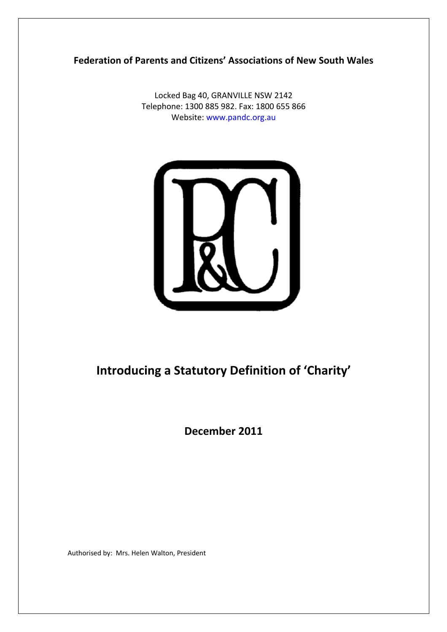**Federation of Parents and Citizens' Associations of New South Wales**

Locked Bag 40, GRANVILLE NSW 2142 Telephone: 1300 885 982. Fax: 1800 655 866 Website: www.pandc.org.au



# **Introducing a Statutory Definition of 'Charity'**

**December 2011**

Authorised by: Mrs. Helen Walton, President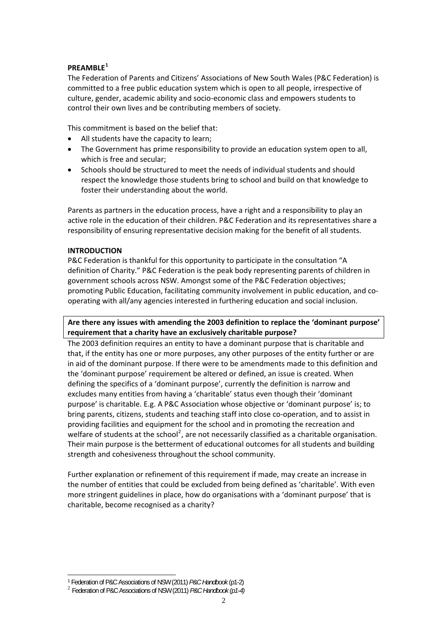### **PREAMBLE[1](#page-1-0)**

The Federation of Parents and Citizens' Associations of New South Wales (P&C Federation) is committed to a free public education system which is open to all people, irrespective of culture, gender, academic ability and socio‐economic class and empowers students to control their own lives and be contributing members of society.

This commitment is based on the belief that:

- All students have the capacity to learn:
- The Government has prime responsibility to provide an education system open to all, which is free and secular;
- Schools should be structured to meet the needs of individual students and should respect the knowledge those students bring to school and build on that knowledge to foster their understanding about the world.

Parents as partners in the education process, have a right and a responsibility to play an active role in the education of their children. P&C Federation and its representatives share a responsibility of ensuring representative decision making for the benefit of all students.

### **INTRODUCTION**

P&C Federation is thankful for this opportunity to participate in the consultation "A definition of Charity." P&C Federation is the peak body representing parents of children in government schools across NSW. Amongst some of the P&C Federation objectives; promoting Public Education, facilitating community involvement in public education, and cooperating with all/any agencies interested in furthering education and social inclusion.

# **Are there any issues with amending the 2003 definition to replace the 'dominant purpose' requirement that a charity have an exclusively charitable purpose?**

The 2003 definition requires an entity to have a dominant purpose that is charitable and that, if the entity has one or more purposes, any other purposes of the entity further or are in aid of the dominant purpose. If there were to be amendments made to this definition and the 'dominant purpose' requirement be altered or defined, an issue is created. When defining the specifics of a 'dominant purpose', currently the definition is narrow and excludes many entities from having a 'charitable' status even though their 'dominant purpose' is charitable. E.g. A P&C Association whose objective or 'dominant purpose' is; to bring parents, citizens, students and teaching staff into close co‐operation, and to assist in providing facilities and equipment for the school and in promoting the recreation and welfare of students at the school<sup>[2](#page-1-1)</sup>, are not necessarily classified as a charitable organisation. Their main purpose is the betterment of educational outcomes for all students and building strength and cohesiveness throughout the school community.

Further explanation or refinement of this requirement if made, may create an increase in the number of entities that could be excluded from being defined as 'charitable'. With even more stringent guidelines in place, how do organisations with a 'dominant purpose' that is charitable, become recognised as a charity?

<span id="page-1-1"></span><span id="page-1-0"></span> $\overline{a}$ 1 Federation of P&C Associations of NSW (2011) *P&C Handbook* (p1-2) <sup>2</sup> Federation of P&C Associations of NSW (2011) *P&C Handbook (p1-4)*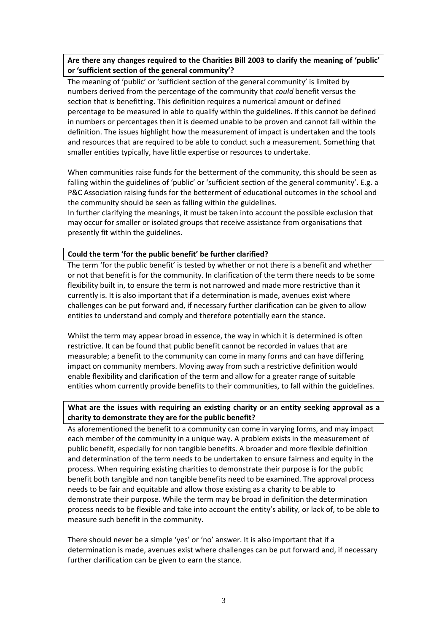## **Are there any changes required to the Charities Bill 2003 to clarify the meaning of 'public' or 'sufficient section of the general community'?**

The meaning of 'public' or 'sufficient section of the general community' is limited by numbers derived from the percentage of the community that *could* benefit versus the section that *is* benefitting. This definition requires a numerical amount or defined percentage to be measured in able to qualify within the guidelines. If this cannot be defined in numbers or percentages then it is deemed unable to be proven and cannot fall within the definition. The issues highlight how the measurement of impact is undertaken and the tools and resources that are required to be able to conduct such a measurement. Something that smaller entities typically, have little expertise or resources to undertake.

When communities raise funds for the betterment of the community, this should be seen as falling within the guidelines of 'public' or 'sufficient section of the general community'. E.g. a P&C Association raising funds for the betterment of educational outcomes in the school and the community should be seen as falling within the guidelines.

In further clarifying the meanings, it must be taken into account the possible exclusion that may occur for smaller or isolated groups that receive assistance from organisations that presently fit within the guidelines.

#### **Could the term 'for the public benefit' be further clarified?**

The term 'for the public benefit' is tested by whether or not there is a benefit and whether or not that benefit is for the community. In clarification of the term there needs to be some flexibility built in, to ensure the term is not narrowed and made more restrictive than it currently is. It is also important that if a determination is made, avenues exist where challenges can be put forward and, if necessary further clarification can be given to allow entities to understand and comply and therefore potentially earn the stance.

Whilst the term may appear broad in essence, the way in which it is determined is often restrictive. It can be found that public benefit cannot be recorded in values that are measurable; a benefit to the community can come in many forms and can have differing impact on community members. Moving away from such a restrictive definition would enable flexibility and clarification of the term and allow for a greater range of suitable entities whom currently provide benefits to their communities, to fall within the guidelines.

### **What are the issues with requiring an existing charity or an entity seeking approval as a charity to demonstrate they are for the public benefit?**

As aforementioned the benefit to a community can come in varying forms, and may impact each member of the community in a unique way. A problem exists in the measurement of public benefit, especially for non tangible benefits. A broader and more flexible definition and determination of the term needs to be undertaken to ensure fairness and equity in the process. When requiring existing charities to demonstrate their purpose is for the public benefit both tangible and non tangible benefits need to be examined. The approval process needs to be fair and equitable and allow those existing as a charity to be able to demonstrate their purpose. While the term may be broad in definition the determination process needs to be flexible and take into account the entity's ability, or lack of, to be able to measure such benefit in the community.

There should never be a simple 'yes' or 'no' answer. It is also important that if a determination is made, avenues exist where challenges can be put forward and, if necessary further clarification can be given to earn the stance.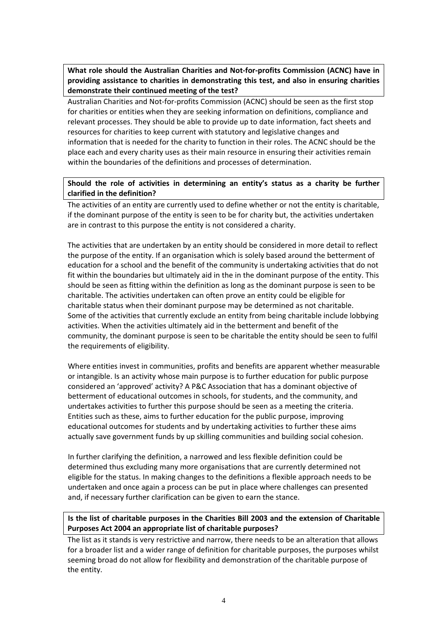**What role should the Australian Charities and Not‐for‐profits Commission (ACNC) have in providing assistance to charities in demonstrating this test, and also in ensuring charities demonstrate their continued meeting of the test?**

Australian Charities and Not‐for‐profits Commission (ACNC) should be seen as the first stop for charities or entities when they are seeking information on definitions, compliance and relevant processes. They should be able to provide up to date information, fact sheets and resources for charities to keep current with statutory and legislative changes and information that is needed for the charity to function in their roles. The ACNC should be the place each and every charity uses as their main resource in ensuring their activities remain within the boundaries of the definitions and processes of determination.

# **Should the role of activities in determining an entity's status as a charity be further clarified in the definition?**

The activities of an entity are currently used to define whether or not the entity is charitable, if the dominant purpose of the entity is seen to be for charity but, the activities undertaken are in contrast to this purpose the entity is not considered a charity.

The activities that are undertaken by an entity should be considered in more detail to reflect the purpose of the entity. If an organisation which is solely based around the betterment of education for a school and the benefit of the community is undertaking activities that do not fit within the boundaries but ultimately aid in the in the dominant purpose of the entity. This should be seen as fitting within the definition as long as the dominant purpose is seen to be charitable. The activities undertaken can often prove an entity could be eligible for charitable status when their dominant purpose may be determined as not charitable. Some of the activities that currently exclude an entity from being charitable include lobbying activities. When the activities ultimately aid in the betterment and benefit of the community, the dominant purpose is seen to be charitable the entity should be seen to fulfil the requirements of eligibility.

Where entities invest in communities, profits and benefits are apparent whether measurable or intangible. Is an activity whose main purpose is to further education for public purpose considered an 'approved' activity? A P&C Association that has a dominant objective of betterment of educational outcomes in schools, for students, and the community, and undertakes activities to further this purpose should be seen as a meeting the criteria. Entities such as these, aims to further education for the public purpose, improving educational outcomes for students and by undertaking activities to further these aims actually save government funds by up skilling communities and building social cohesion.

In further clarifying the definition, a narrowed and less flexible definition could be determined thus excluding many more organisations that are currently determined not eligible for the status. In making changes to the definitions a flexible approach needs to be undertaken and once again a process can be put in place where challenges can presented and, if necessary further clarification can be given to earn the stance.

# **Is the list of charitable purposes in the Charities Bill 2003 and the extension of Charitable Purposes Act 2004 an appropriate list of charitable purposes?**

The list as it stands is very restrictive and narrow, there needs to be an alteration that allows for a broader list and a wider range of definition for charitable purposes, the purposes whilst seeming broad do not allow for flexibility and demonstration of the charitable purpose of the entity.